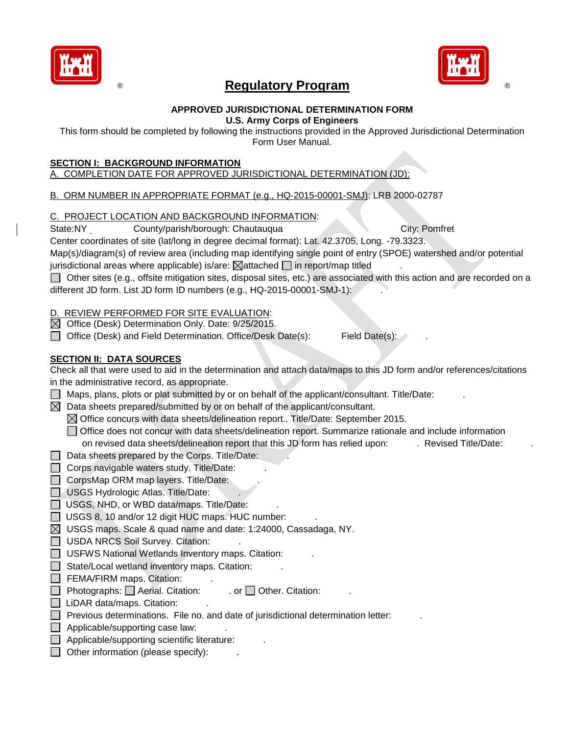

# **Regulatory Program strategies and the Regulatory Program strategies and the Regulatory Program strategies and the Region Section Architect Section Architect Section Architect Section Architect Section Architect Section Ar**



#### **APPROVED JURISDICTIONAL DETERMINATION FORM U.S. Army Corps of Engineers**

This form should be completed by following the instructions provided in the Approved Jurisdictional Determination Form User Manual.

#### **SECTION I: BACKGROUND INFORMATION**

## A. COMPLETION DATE FOR APPROVED JURISDICTIONAL DETERMINATION (JD):

B. ORM NUMBER IN APPROPRIATE FORMAT (e.g., HQ-2015-00001-SMJ): LRB 2000-02787

#### C. PROJECT LOCATION AND BACKGROUND INFORMATION:

State:NY County/parish/borough: Chautauqua City: Pomfret

Center coordinates of site (lat/long in degree decimal format): Lat. 42.3705, Long. -79.3323.

Map(s)/diagram(s) of review area (including map identifying single point of entry (SPOE) watershed and/or potential jurisdictional areas where applicable) is/are:  $\boxtimes$  attached  $\Box$  in report/map titled

Other sites (e.g., offsite mitigation sites, disposal sites, etc.) are associated with this action and are recorded on a different JD form. List JD form ID numbers (e.g., HQ-2015-00001-SMJ-1):

### REVIEW PERFORMED FOR SITE EVALUATION:

 $\boxtimes$  Office (Desk) Determination Only. Date: 9/25/2015.

□ Office (Desk) and Field Determination. Office/Desk Date(s): Field Date(s):

### **SECTION II: DATA SOURCES**

Check all that were used to aid in the determination and attach data/maps to this JD form and/or references/citations in the administrative record, as appropriate.

- $\Box$  Maps, plans, plots or plat submitted by or on behalf of the applicant/consultant. Title/Date:
- $\boxtimes$  Data sheets prepared/submitted by or on behalf of the applicant/consultant.
	- $\boxtimes$  Office concurs with data sheets/delineation report.. Title/Date: September 2015.
	- Office does not concur with data sheets/delineation report. Summarize rationale and include information on revised data sheets/delineation report that this JD form has relied upon: . Revised Title/Date:
- $\Box$  Data sheets prepared by the Corps. Title/Date:
- $\Box$  Corps navigable waters study. Title/Date:
- $\Box$  CorpsMap ORM map layers. Title/Date:
- USGS Hydrologic Atlas. Title/Date:
- $\Box$  USGS, NHD, or WBD data/maps. Title/Date:
- $\Box$  USGS 8, 10 and/or 12 digit HUC maps. HUC number:
- $\boxtimes$  USGS maps. Scale & quad name and date: 1:24000, Cassadaga, NY.
- $\Box$  USDA NRCS Soil Survey. Citation:
- $\Box$  USFWS National Wetlands Inventory maps. Citation:
- $\Box$  State/Local wetland inventory maps. Citation:
- $\Box$  FEMA/FIRM maps. Citation:
- $\Box$  Photographs:  $\Box$  Aerial. Citation: ... or  $\Box$  Other. Citation:
- $\Box$  LiDAR data/maps. Citation:
- $\Box$  Previous determinations. File no. and date of jurisdictional determination letter:
- $\Box$  Applicable/supporting case law:
- $\Box$  Applicable/supporting scientific literature:
- $\Box$  Other information (please specify):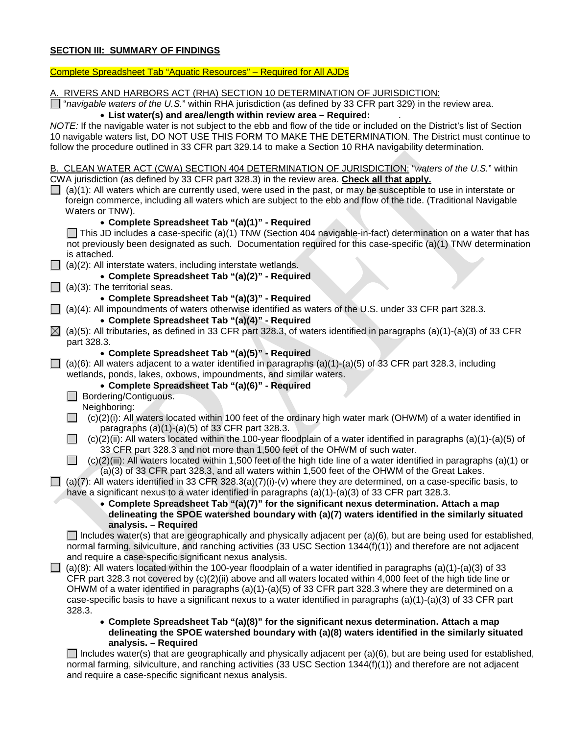### **SECTION III: SUMMARY OF FINDINGS**

### Complete Spreadsheet Tab "Aquatic Resources" – Required for All AJDs

| A. RIVERS AND HARBORS ACT (RHA) SECTION 10 DETERMINATION OF JURISDICTION:                                                        |
|----------------------------------------------------------------------------------------------------------------------------------|
| $\Box$ "navigable waters of the U.S." within RHA jurisdiction (as defined by 33 CFR part 329) in the review area.                |
| • List water(s) and area/length within review area - Required:                                                                   |
| NOTE: If the navigable water is not subject to the ebb and flow of the tide or included on the District's list of Section        |
| 10 navigable waters list, DO NOT USE THIS FORM TO MAKE THE DETERMINATION. The District must continue to                          |
| follow the procedure outlined in 33 CFR part 329.14 to make a Section 10 RHA navigability determination.                         |
|                                                                                                                                  |
| B. CLEAN WATER ACT (CWA) SECTION 404 DETERMINATION OF JURISDICTION: "waters of the U.S." within                                  |
| CWA jurisdiction (as defined by 33 CFR part 328.3) in the review area. Check all that apply.                                     |
| $\Box$ (a)(1): All waters which are currently used, were used in the past, or may be susceptible to use in interstate or         |
| foreign commerce, including all waters which are subject to the ebb and flow of the tide. (Traditional Navigable                 |
| Waters or TNW).                                                                                                                  |
| • Complete Spreadsheet Tab "(a)(1)" - Required                                                                                   |
| $\Box$ This JD includes a case-specific (a)(1) TNW (Section 404 navigable-in-fact) determination on a water that has             |
| not previously been designated as such. Documentation required for this case-specific (a)(1) TNW determination                   |
| is attached.                                                                                                                     |
| (a)(2): All interstate waters, including interstate wetlands.                                                                    |
| • Complete Spreadsheet Tab "(a)(2)" - Required                                                                                   |
| (a)(3): The territorial seas.                                                                                                    |
| • Complete Spreadsheet Tab "(a)(3)" - Required                                                                                   |
| (a)(4): All impoundments of waters otherwise identified as waters of the U.S. under 33 CFR part 328.3.                           |
| • Complete Spreadsheet Tab "(a)(4)" - Required                                                                                   |
| $\boxtimes$ (a)(5): All tributaries, as defined in 33 CFR part 328.3, of waters identified in paragraphs (a)(1)-(a)(3) of 33 CFR |
| part 328.3.                                                                                                                      |
| • Complete Spreadsheet Tab "(a)(5)" - Required                                                                                   |
| (a)(6): All waters adjacent to a water identified in paragraphs (a)(1)-(a)(5) of 33 CFR part 328.3, including                    |
| wetlands, ponds, lakes, oxbows, impoundments, and similar waters.                                                                |
| • Complete Spreadsheet Tab "(a)(6)" - Required                                                                                   |
| Bordering/Contiguous.<br>$\Box$                                                                                                  |
| Neighboring:                                                                                                                     |
| (c)(2)(i): All waters located within 100 feet of the ordinary high water mark (OHWM) of a water identified in                    |
| paragraphs $(a)(1)-(a)(5)$ of 33 CFR part 328.3.                                                                                 |
| $(c)(2)(ii)$ : All waters located within the 100-year floodplain of a water identified in paragraphs $(a)(1)-(a)(5)$ of          |
| 33 CFR part 328.3 and not more than 1,500 feet of the OHWM of such water.                                                        |
| $(c)(2)(iii)$ : All waters located within 1,500 feet of the high tide line of a water identified in paragraphs (a)(1) or         |
| (a)(3) of 33 CFR part 328.3, and all waters within 1,500 feet of the OHWM of the Great Lakes.                                    |
| (a)(7): All waters identified in 33 CFR 328.3(a)(7)(i)-(v) where they are determined, on a case-specific basis, to               |
| have a significant nexus to a water identified in paragraphs $(a)(1)-(a)(3)$ of 33 CFR part 328.3.                               |
| • Complete Spreadsheet Tab "(a)(7)" for the significant nexus determination. Attach a map                                        |
| delineating the SPOE watershed boundary with (a)(7) waters identified in the similarly situated                                  |
| analysis. - Required                                                                                                             |
| $\Box$ Includes water(s) that are geographically and physically adjacent per (a)(6), but are being used for established,         |
| normal farming, silviculture, and ranching activities (33 USC Section 1344(f)(1)) and therefore are not adjacent                 |
| and require a case-specific significant nexus analysis.                                                                          |
| $(a)(8)$ : All waters located within the 100-year floodplain of a water identified in paragraphs $(a)(1)-(a)(3)$ of 33           |
| CFR part 328.3 not covered by $(c)(2)(ii)$ above and all waters located within 4,000 feet of the high tide line or               |
| OHWM of a water identified in paragraphs $(a)(1)-(a)(5)$ of 33 CFR part 328.3 where they are determined on a                     |
| case-specific basis to have a significant nexus to a water identified in paragraphs (a)(1)-(a)(3) of 33 CFR part                 |
| 328.3.                                                                                                                           |
| • Complete Spreadsheet Tab "(a)(8)" for the significant nexus determination. Attach a map                                        |
| delineating the SPOE watershed boundary with (a)(8) waters identified in the similarly situated                                  |
| analysis. - Required                                                                                                             |
| Includes water(s) that are geographically and physically adjacent per $(a)(6)$ , but are being used for established,             |

Includes water(s) that are geographically and physically adjacent per (a)(6), but are being used for established, normal farming, silviculture, and ranching activities (33 USC Section 1344(f)(1)) and therefore are not adjacent and require a case-specific significant nexus analysis.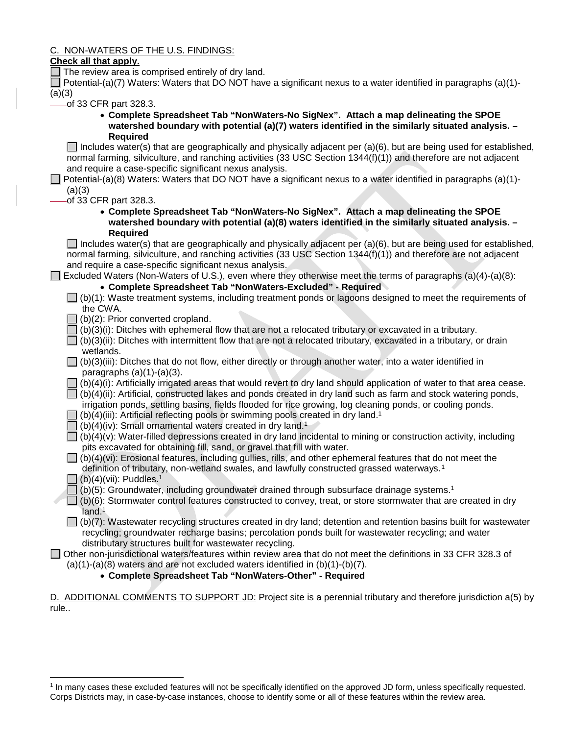C. NON-WATERS OF THE U.S. FINDINGS:

#### **Check all that apply.**

 $\Box$  The review area is comprised entirely of dry land.

Potential-(a)(7) Waters: Waters that DO NOT have a significant nexus to a water identified in paragraphs (a)(1)-(a)(3)

of 33 CFR part 328.3.

• **Complete Spreadsheet Tab "NonWaters-No SigNex". Attach a map delineating the SPOE watershed boundary with potential (a)(7) waters identified in the similarly situated analysis. – Required**

Includes water(s) that are geographically and physically adjacent per (a)(6), but are being used for established, normal farming, silviculture, and ranching activities (33 USC Section 1344(f)(1)) and therefore are not adjacent and require a case-specific significant nexus analysis.

Potential-(a)(8) Waters: Waters that DO NOT have a significant nexus to a water identified in paragraphs (a)(1)- $(a)(3)$ 

of 33 CFR part 328.3.

• **Complete Spreadsheet Tab "NonWaters-No SigNex". Attach a map delineating the SPOE watershed boundary with potential (a)(8) waters identified in the similarly situated analysis. – Required**

Includes water(s) that are geographically and physically adjacent per (a)(6), but are being used for established, normal farming, silviculture, and ranching activities (33 USC Section 1344(f)(1)) and therefore are not adjacent and require a case-specific significant nexus analysis.

Excluded Waters (Non-Waters of U.S.), even where they otherwise meet the terms of paragraphs (a)(4)-(a)(8): • **Complete Spreadsheet Tab "NonWaters-Excluded" - Required**

 $\Box$  (b)(1): Waste treatment systems, including treatment ponds or lagoons designed to meet the requirements of the CWA.

 $\Box$  (b)(2): Prior converted cropland.

- $\exists$  (b)(3)(i): Ditches with ephemeral flow that are not a relocated tributary or excavated in a tributary.
- $\Box$  (b)(3)(ii): Ditches with intermittent flow that are not a relocated tributary, excavated in a tributary, or drain wetlands.
- $\Box$  (b)(3)(iii): Ditches that do not flow, either directly or through another water, into a water identified in paragraphs  $(a)(1)-(a)(3)$ .
- $\Box$  (b)(4)(i): Artificially irrigated areas that would revert to dry land should application of water to that area cease.
- $\Box$  (b)(4)(ii): Artificial, constructed lakes and ponds created in dry land such as farm and stock watering ponds, irrigation ponds, settling basins, fields flooded for rice growing, log cleaning ponds, or cooling ponds.
- $\Box$  (b)(4)(iii): Artificial reflecting pools or swimming pools created in dry land.<sup>1</sup>
- (b)(4)(iv): Small ornamental waters created in dry land. 1
- $\Box$  (b)(4)(v): Water-filled depressions created in dry land incidental to mining or construction activity, including pits excavated for obtaining fill, sand, or gravel that fill with water.
- $\Box$  (b)(4)(vi): Erosional features, including gullies, rills, and other ephemeral features that do not meet the definition of tributary, non-wetland swales, and lawfully constructed grassed waterways.<sup>[1](#page-2-0)</sup>
- $\Box$  (b)(4)(vii): Puddles.<sup>1</sup>

 $\overline{a}$ 

- $(16)(5)$ : Groundwater, including groundwater drained through subsurface drainage systems.<sup>1</sup>
- $\Box$  (b)(6): Stormwater control features constructed to convey, treat, or store stormwater that are created in dry land.<sup>1</sup>

 $\Box$  (b)(7): Wastewater recycling structures created in dry land; detention and retention basins built for wastewater recycling; groundwater recharge basins; percolation ponds built for wastewater recycling; and water distributary structures built for wastewater recycling.

#### Other non-jurisdictional waters/features within review area that do not meet the definitions in 33 CFR 328.3 of  $(a)(1)-(a)(8)$  waters and are not excluded waters identified in  $(b)(1)-(b)(7)$ .

#### • **Complete Spreadsheet Tab "NonWaters-Other" - Required**

D. ADDITIONAL COMMENTS TO SUPPORT JD: Project site is a perennial tributary and therefore jurisdiction a(5) by rule..

<span id="page-2-0"></span><sup>1</sup> In many cases these excluded features will not be specifically identified on the approved JD form, unless specifically requested. Corps Districts may, in case-by-case instances, choose to identify some or all of these features within the review area.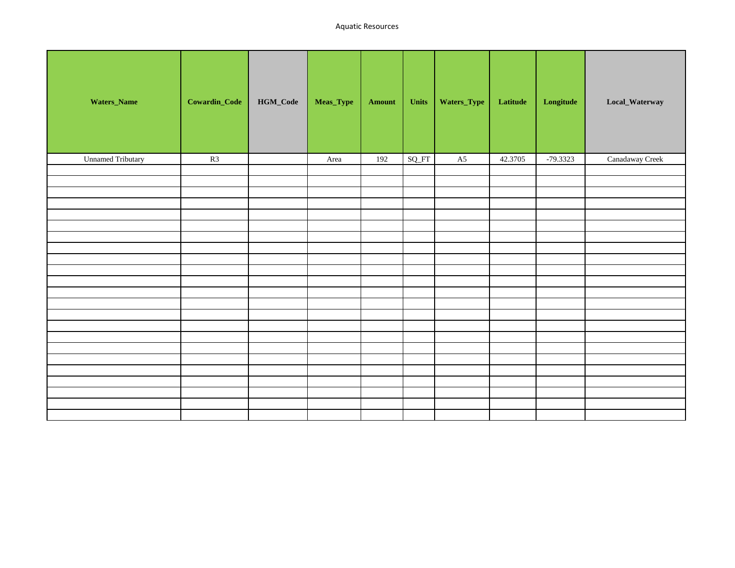| Waters_Name              | Cowardin_Code | $\mathbf{HGM\_Code}$ | Meas_Type | Amount | Units | Waters_Type | Latitude | $\label{eq:cong} Longitude$ | Local_Waterway  |
|--------------------------|---------------|----------------------|-----------|--------|-------|-------------|----------|-----------------------------|-----------------|
| <b>Unnamed Tributary</b> | R3            |                      | Area      | 192    | SQ_FT | A5          | 42.3705  | $-79.3323$                  | Canadaway Creek |
|                          |               |                      |           |        |       |             |          |                             |                 |
|                          |               |                      |           |        |       |             |          |                             |                 |
|                          |               |                      |           |        |       |             |          |                             |                 |
|                          |               |                      |           |        |       |             |          |                             |                 |
|                          |               |                      |           |        |       |             |          |                             |                 |
|                          |               |                      |           |        |       |             |          |                             |                 |
|                          |               |                      |           |        |       |             |          |                             |                 |
|                          |               |                      |           |        |       |             |          |                             |                 |
|                          |               |                      |           |        |       |             |          |                             |                 |
|                          |               |                      |           |        |       |             |          |                             |                 |
|                          |               |                      |           |        |       |             |          |                             |                 |
|                          |               |                      |           |        |       |             |          |                             |                 |
|                          |               |                      |           |        |       |             |          |                             |                 |
|                          |               |                      |           |        |       |             |          |                             |                 |
|                          |               |                      |           |        |       |             |          |                             |                 |
|                          |               |                      |           |        |       |             |          |                             |                 |
|                          |               |                      |           |        |       |             |          |                             |                 |
|                          |               |                      |           |        |       |             |          |                             |                 |
|                          |               |                      |           |        |       |             |          |                             |                 |
|                          |               |                      |           |        |       |             |          |                             |                 |
|                          |               |                      |           |        |       |             |          |                             |                 |
|                          |               |                      |           |        |       |             |          |                             |                 |